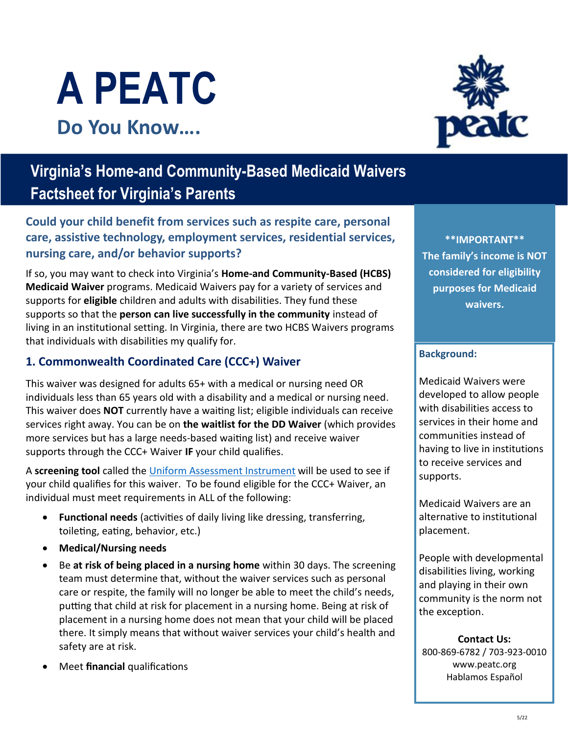



# **Virginia's Home-and Community-Based Medicaid Waivers Factsheet for Virginia's Parents**

**Could your child benefit from services such as respite care, personal care, assistive technology, employment services, residential services, nursing care, and/or behavior supports?** 

If so, you may want to check into Virginia's **Home-and Community-Based (HCBS) Medicaid Waiver** programs. Medicaid Waivers pay for a variety of services and supports for **eligible** children and adults with disabilities. They fund these supports so that the **person can live successfully in the community** instead of living in an institutional setting. In Virginia, there are two HCBS Waivers programs that individuals with disabilities my qualify for.

#### **1. Commonwealth Coordinated Care (CCC+) Waiver**

This waiver was designed for adults 65+ with a medical or nursing need OR individuals less than 65 years old with a disability and a medical or nursing need. This waiver does **NOT** currently have a waiting list; eligible individuals can receive services right away. You can be on **the waitlist for the DD Waiver** (which provides more services but has a large needs-based waiting list) and receive waiver supports through the CCC+ Waiver **IF** your child qualifies.

A **screening tool** called the [Uniform Assessment Instrument](https://clpc.ucsf.edu/sites/clpc.ucsf.edu/files/Virginia%20Uniform%20Assessment%20Instrument.pdf?msclkid=2bc0e3c2d12b11ec94af8332172910f4) will be used to see if your child qualifies for this waiver. To be found eligible for the CCC+ Waiver, an individual must meet requirements in ALL of the following:

- **Functional needs** (activities of daily living like dressing, transferring, toileting, eating, behavior, etc.)
- **Medical/Nursing needs**
- Be **at risk of being placed in a nursing home** within 30 days. The screening team must determine that, without the waiver services such as personal care or respite, the family will no longer be able to meet the child's needs, putting that child at risk for placement in a nursing home. Being at risk of placement in a nursing home does not mean that your child will be placed there. It simply means that without waiver services your child's health and safety are at risk.
- Meet **financial** qualifications

**\*\*IMPORTANT\*\* The family's income is NOT considered for eligibility purposes for Medicaid waivers.** 

#### **Background:**

Medicaid Waivers were developed to allow people with disabilities access to services in their home and communities instead of having to live in institutions to receive services and supports.

Medicaid Waivers are an alternative to institutional placement.

People with developmental disabilities living, working and playing in their own community is the norm not the exception.

**Contact Us:** 800-869-6782 / 703-923-0010 www.peatc.org Hablamos Español